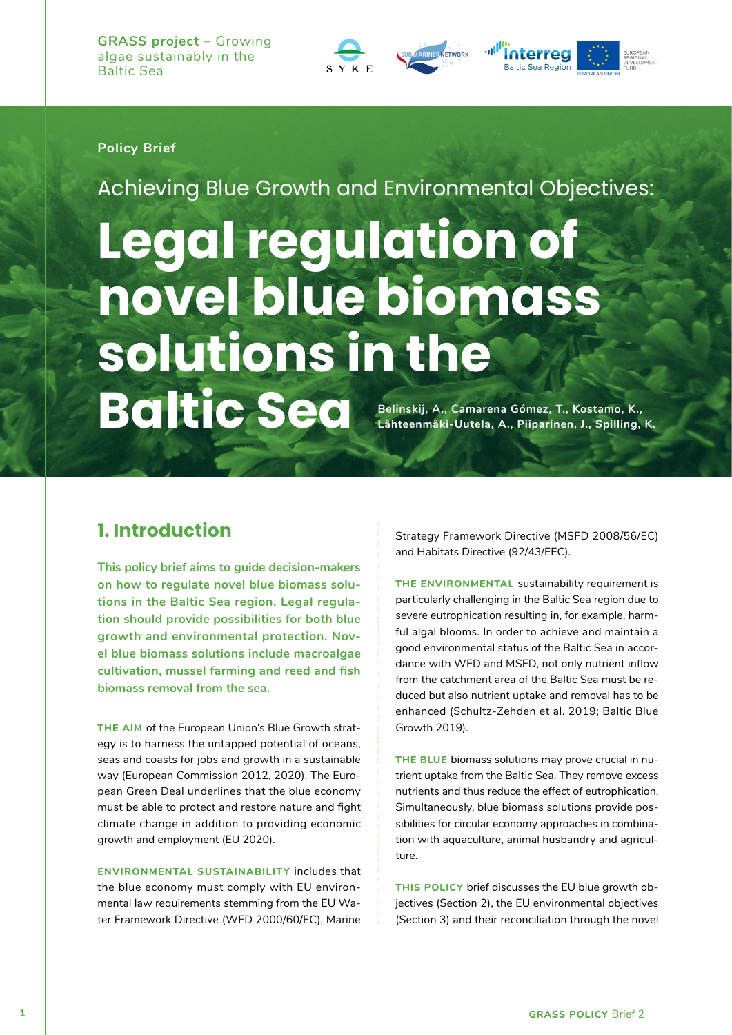

### **Policy Brief**

Achieving Blue Growth and Environmental Objectives:

**Legal regulation of novel blue biomass solutions in the BCICSEC** Belinskij, A., Camarena Gómez, T., Kostamo, K., Lähteenmäki-Uutela, A., Piiparinen, J., Spilling, **Lähteenmäki-Uutela, A., Piiparinen, J., Spilling, K.**

### **1. Introduction**

**This policy brief aims to guide decision-makers on how to regulate novel blue biomass solutions in the Baltic Sea region. Legal regulation should provide possibilities for both blue growth and environmental protection. Novel blue biomass solutions include macroalgae cultivation, mussel farming and reed and fish biomass removal from the sea.** 

**THE AIM** of the European Union's Blue Growth strategy is to harness the untapped potential of oceans, seas and coasts for jobs and growth in a sustainable way (European Commission 2012, 2020). The European Green Deal underlines that the blue economy must be able to protect and restore nature and fight climate change in addition to providing economic growth and employment (EU 2020).

**ENVIRONMENTAL SUSTAINABILITY** includes that the blue economy must comply with EU environmental law requirements stemming from the EU Water Framework Directive (WFD 2000/60/EC), Marine

Strategy Framework Directive (MSFD 2008/56/EC) and Habitats Directive (92/43/EEC).

**THE ENVIRONMENTAL** sustainability requirement is particularly challenging in the Baltic Sea region due to severe eutrophication resulting in, for example, harmful algal blooms. In order to achieve and maintain a good environmental status of the Baltic Sea in accordance with WFD and MSFD, not only nutrient inflow from the catchment area of the Baltic Sea must be reduced but also nutrient uptake and removal has to be enhanced (Schultz-Zehden et al. 2019; Baltic Blue Growth 2019).

**THE BLUE** biomass solutions may prove crucial in nutrient uptake from the Baltic Sea. They remove excess nutrients and thus reduce the effect of eutrophication. Simultaneously, blue biomass solutions provide possibilities for circular economy approaches in combination with aquaculture, animal husbandry and agriculture.

**THIS POLICY** brief discusses the EU blue growth objectives (Section 2), the EU environmental objectives (Section 3) and their reconciliation through the novel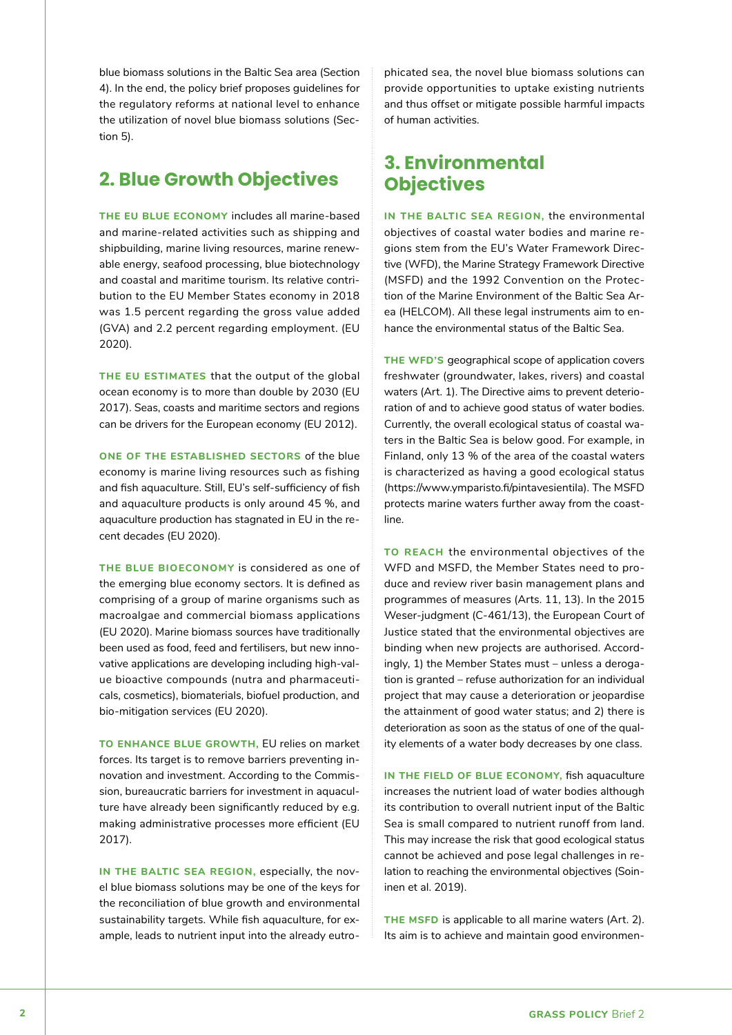blue biomass solutions in the Baltic Sea area (Section 4). In the end, the policy brief proposes guidelines for the regulatory reforms at national level to enhance the utilization of novel blue biomass solutions (Section 5).

# **2. Blue Growth Objectives**

**THE EU BLUE ECONOMY** includes all marine-based and marine-related activities such as shipping and shipbuilding, marine living resources, marine renewable energy, seafood processing, blue biotechnology and coastal and maritime tourism. Its relative contribution to the EU Member States economy in 2018 was 1.5 percent regarding the gross value added (GVA) and 2.2 percent regarding employment. (EU 2020).

**THE EU ESTIMATES** that the output of the global ocean economy is to more than double by 2030 (EU 2017). Seas, coasts and maritime sectors and regions can be drivers for the European economy (EU 2012).

**ONE OF THE ESTABLISHED SECTORS** of the blue economy is marine living resources such as fishing and fish aquaculture. Still, EU's self-sufficiency of fish and aquaculture products is only around 45 %, and aquaculture production has stagnated in EU in the recent decades (EU 2020).

**THE BLUE BIOECONOMY** is considered as one of the emerging blue economy sectors. It is defined as comprising of a group of marine organisms such as macroalgae and commercial biomass applications (EU 2020). Marine biomass sources have traditionally been used as food, feed and fertilisers, but new innovative applications are developing including high-value bioactive compounds (nutra and pharmaceuticals, cosmetics), biomaterials, biofuel production, and bio-mitigation services (EU 2020).

**TO ENHANCE BLUE GROWTH,** EU relies on market forces. Its target is to remove barriers preventing innovation and investment. According to the Commission, bureaucratic barriers for investment in aquaculture have already been significantly reduced by e.g. making administrative processes more efficient (EU 2017).

**IN THE BALTIC SEA REGION,** especially, the novel blue biomass solutions may be one of the keys for the reconciliation of blue growth and environmental sustainability targets. While fish aquaculture, for example, leads to nutrient input into the already eutro-

phicated sea, the novel blue biomass solutions can provide opportunities to uptake existing nutrients and thus offset or mitigate possible harmful impacts of human activities.

## **3. Environmental Objectives**

**IN THE BALTIC SEA REGION,** the environmental objectives of coastal water bodies and marine regions stem from the EU's Water Framework Directive (WFD), the Marine Strategy Framework Directive (MSFD) and the 1992 Convention on the Protection of the Marine Environment of the Baltic Sea Area (HELCOM). All these legal instruments aim to enhance the environmental status of the Baltic Sea.

**THE WFD'S** geographical scope of application covers freshwater (groundwater, lakes, rivers) and coastal waters (Art. 1). The Directive aims to prevent deterioration of and to achieve good status of water bodies. Currently, the overall ecological status of coastal waters in the Baltic Sea is below good. For example, in Finland, only 13 % of the area of the coastal waters is characterized as having a good ecological status (https://www.ymparisto.fi/pintavesientila). The MSFD protects marine waters further away from the coastline.

**TO REACH** the environmental objectives of the WFD and MSFD, the Member States need to produce and review river basin management plans and programmes of measures (Arts. 11, 13). In the 2015 Weser-judgment (C-461/13), the European Court of Justice stated that the environmental objectives are binding when new projects are authorised. Accordingly, 1) the Member States must – unless a derogation is granted – refuse authorization for an individual project that may cause a deterioration or jeopardise the attainment of good water status; and 2) there is deterioration as soon as the status of one of the quality elements of a water body decreases by one class.

**IN THE FIELD OF BLUE ECONOMY,** fish aquaculture increases the nutrient load of water bodies although its contribution to overall nutrient input of the Baltic Sea is small compared to nutrient runoff from land. This may increase the risk that good ecological status cannot be achieved and pose legal challenges in relation to reaching the environmental objectives (Soininen et al. 2019).

**THE MSFD** is applicable to all marine waters (Art. 2). Its aim is to achieve and maintain good environmen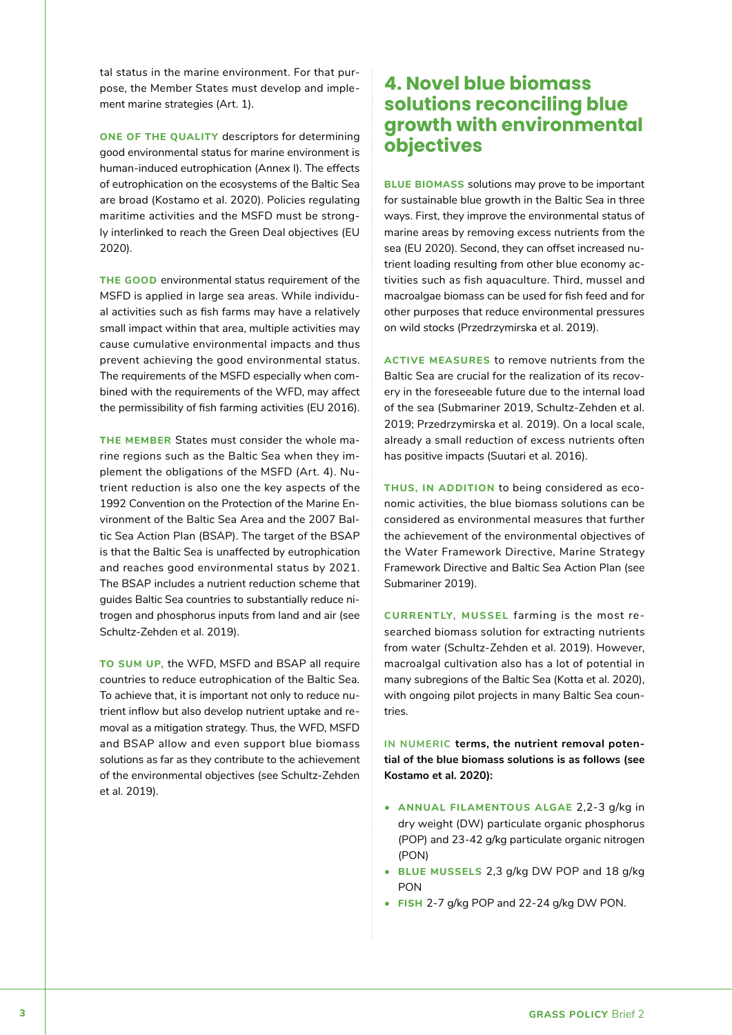tal status in the marine environment. For that purpose, the Member States must develop and implement marine strategies (Art. 1).

**ONE OF THE QUALITY** descriptors for determining good environmental status for marine environment is human-induced eutrophication (Annex I). The effects of eutrophication on the ecosystems of the Baltic Sea are broad (Kostamo et al. 2020). Policies regulating maritime activities and the MSFD must be strongly interlinked to reach the Green Deal objectives (EU 2020).

**THE GOOD** environmental status requirement of the MSFD is applied in large sea areas. While individual activities such as fish farms may have a relatively small impact within that area, multiple activities may cause cumulative environmental impacts and thus prevent achieving the good environmental status. The requirements of the MSFD especially when combined with the requirements of the WFD, may affect the permissibility of fish farming activities (EU 2016).

**THE MEMBER** States must consider the whole marine regions such as the Baltic Sea when they implement the obligations of the MSFD (Art. 4). Nutrient reduction is also one the key aspects of the 1992 Convention on the Protection of the Marine Environment of the Baltic Sea Area and the 2007 Baltic Sea Action Plan (BSAP). The target of the BSAP is that the Baltic Sea is unaffected by eutrophication and reaches good environmental status by 2021. The BSAP includes a nutrient reduction scheme that guides Baltic Sea countries to substantially reduce nitrogen and phosphorus inputs from land and air (see Schultz-Zehden et al. 2019).

**TO SUM UP,** the WFD, MSFD and BSAP all require countries to reduce eutrophication of the Baltic Sea. To achieve that, it is important not only to reduce nutrient inflow but also develop nutrient uptake and removal as a mitigation strategy. Thus, the WFD, MSFD and BSAP allow and even support blue biomass solutions as far as they contribute to the achievement of the environmental objectives (see Schultz-Zehden et al. 2019).

# **4. Novel blue biomass solutions reconciling blue growth with environmental objectives**

**BLUE BIOMASS** solutions may prove to be important for sustainable blue growth in the Baltic Sea in three ways. First, they improve the environmental status of marine areas by removing excess nutrients from the sea (EU 2020). Second, they can offset increased nutrient loading resulting from other blue economy activities such as fish aquaculture. Third, mussel and macroalgae biomass can be used for fish feed and for other purposes that reduce environmental pressures on wild stocks (Przedrzymirska et al. 2019).

**ACTIVE MEASURES** to remove nutrients from the Baltic Sea are crucial for the realization of its recovery in the foreseeable future due to the internal load of the sea (Submariner 2019, Schultz-Zehden et al. 2019; Przedrzymirska et al. 2019). On a local scale, already a small reduction of excess nutrients often has positive impacts (Suutari et al. 2016).

**THUS, IN ADDITION** to being considered as economic activities, the blue biomass solutions can be considered as environmental measures that further the achievement of the environmental objectives of the Water Framework Directive, Marine Strategy Framework Directive and Baltic Sea Action Plan (see Submariner 2019).

**CURRENTLY, MUSSEL** farming is the most researched biomass solution for extracting nutrients from water (Schultz-Zehden et al. 2019). However, macroalgal cultivation also has a lot of potential in many subregions of the Baltic Sea (Kotta et al. 2020), with ongoing pilot projects in many Baltic Sea countries.

**IN NUMERIC terms, the nutrient removal potential of the blue biomass solutions is as follows (see Kostamo et al. 2020):**

- **ANNUAL FILAMENTOUS ALGAE** 2,2-3 g/kg in dry weight (DW) particulate organic phosphorus (POP) and 23-42 g/kg particulate organic nitrogen (PON)
- **BLUE MUSSELS** 2,3 g/kg DW POP and 18 g/kg PON
- **FISH** 2-7 g/kg POP and 22-24 g/kg DW PON.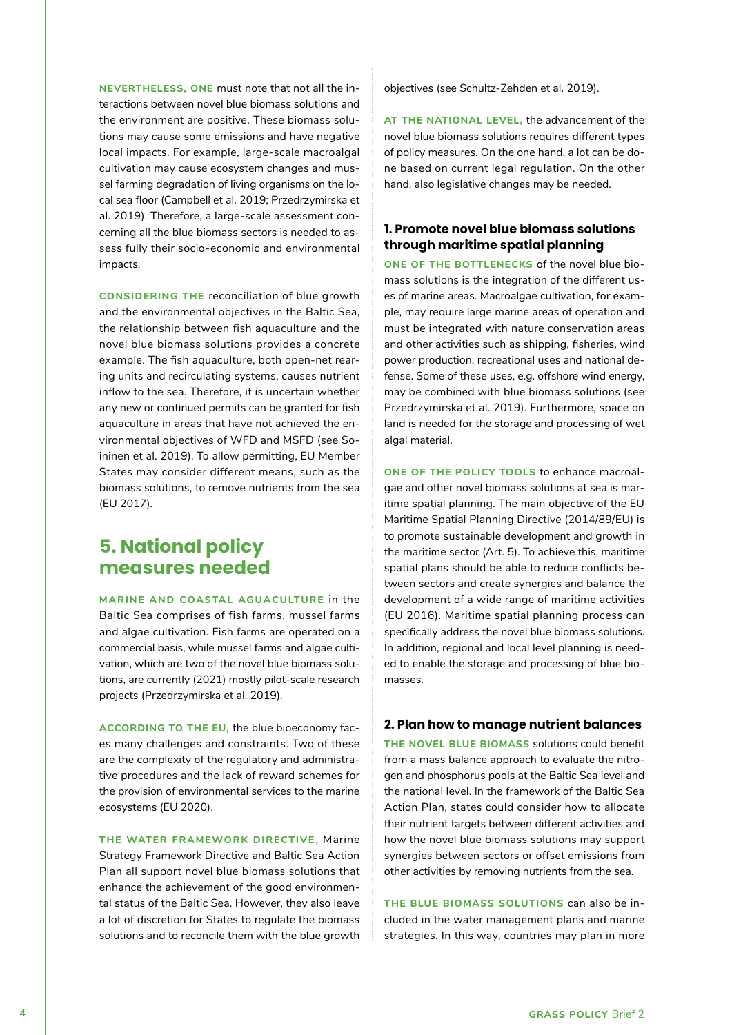**NEVERTHELESS, ONE** must note that not all the interactions between novel blue biomass solutions and the environment are positive. These biomass solutions may cause some emissions and have negative local impacts. For example, large-scale macroalgal cultivation may cause ecosystem changes and mussel farming degradation of living organisms on the local sea floor (Campbell et al. 2019; Przedrzymirska et al. 2019). Therefore, a large-scale assessment concerning all the blue biomass sectors is needed to assess fully their socio-economic and environmental impacts.

**CONSIDERING THE** reconciliation of blue growth and the environmental objectives in the Baltic Sea, the relationship between fish aquaculture and the novel blue biomass solutions provides a concrete example. The fish aquaculture, both open-net rearing units and recirculating systems, causes nutrient inflow to the sea. Therefore, it is uncertain whether any new or continued permits can be granted for fish aquaculture in areas that have not achieved the environmental objectives of WFD and MSFD (see Soininen et al. 2019). To allow permitting, EU Member States may consider different means, such as the biomass solutions, to remove nutrients from the sea (EU 2017).

## **5. National policy measures needed**

**MARINE AND COASTAL AGUACULTURE** in the Baltic Sea comprises of fish farms, mussel farms and algae cultivation. Fish farms are operated on a commercial basis, while mussel farms and algae cultivation, which are two of the novel blue biomass solutions, are currently (2021) mostly pilot-scale research projects (Przedrzymirska et al. 2019).

**ACCORDING TO THE EU,** the blue bioeconomy faces many challenges and constraints. Two of these are the complexity of the regulatory and administrative procedures and the lack of reward schemes for the provision of environmental services to the marine ecosystems (EU 2020).

**THE WATER FRAMEWORK DIRECTIVE,** Marine Strategy Framework Directive and Baltic Sea Action Plan all support novel blue biomass solutions that enhance the achievement of the good environmental status of the Baltic Sea. However, they also leave a lot of discretion for States to regulate the biomass solutions and to reconcile them with the blue growth

objectives (see Schultz-Zehden et al. 2019).

**AT THE NATIONAL LEVEL,** the advancement of the novel blue biomass solutions requires different types of policy measures. On the one hand, a lot can be done based on current legal regulation. On the other hand, also legislative changes may be needed.

### **1. Promote novel blue biomass solutions through maritime spatial planning**

**ONE OF THE BOTTLENECKS** of the novel blue biomass solutions is the integration of the different uses of marine areas. Macroalgae cultivation, for example, may require large marine areas of operation and must be integrated with nature conservation areas and other activities such as shipping, fisheries, wind power production, recreational uses and national defense. Some of these uses, e.g. offshore wind energy, may be combined with blue biomass solutions (see Przedrzymirska et al. 2019). Furthermore, space on land is needed for the storage and processing of wet algal material.

**ONE OF THE POLICY TOOLS** to enhance macroalgae and other novel biomass solutions at sea is maritime spatial planning. The main objective of the EU Maritime Spatial Planning Directive (2014/89/EU) is to promote sustainable development and growth in the maritime sector (Art. 5). To achieve this, maritime spatial plans should be able to reduce conflicts between sectors and create synergies and balance the development of a wide range of maritime activities (EU 2016). Maritime spatial planning process can specifically address the novel blue biomass solutions. In addition, regional and local level planning is needed to enable the storage and processing of blue biomasses.

#### **2. Plan how to manage nutrient balances**

**THE NOVEL BLUE BIOMASS** solutions could benefit from a mass balance approach to evaluate the nitrogen and phosphorus pools at the Baltic Sea level and the national level. In the framework of the Baltic Sea Action Plan, states could consider how to allocate their nutrient targets between different activities and how the novel blue biomass solutions may support synergies between sectors or offset emissions from other activities by removing nutrients from the sea.

**THE BLUE BIOMASS SOLUTIONS** can also be included in the water management plans and marine strategies. In this way, countries may plan in more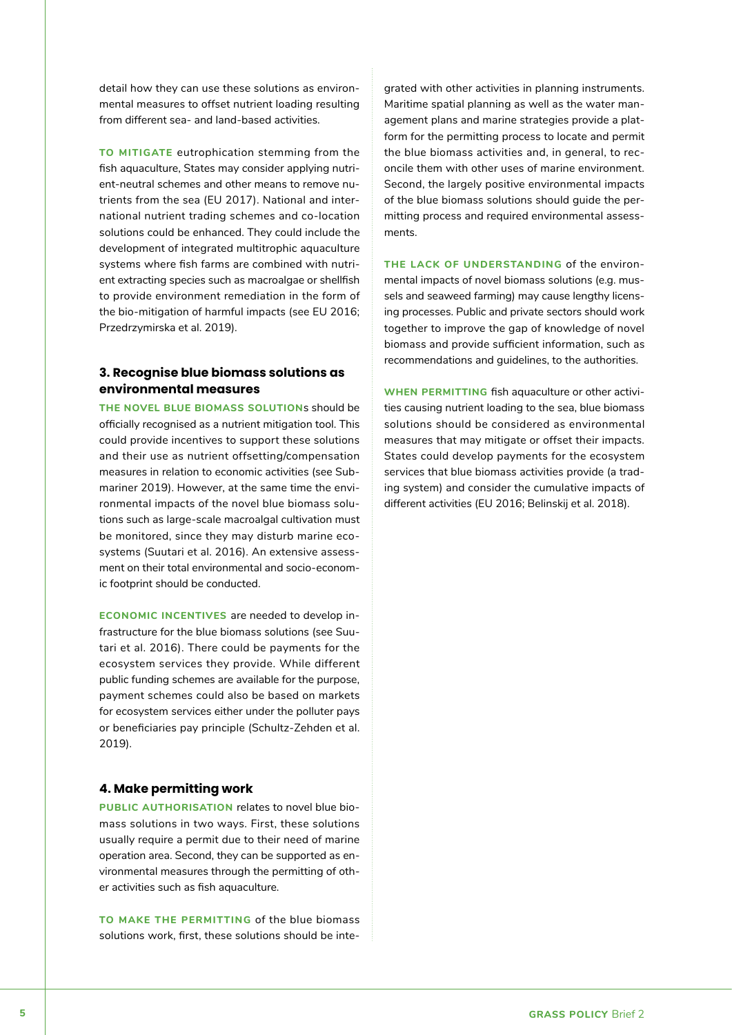detail how they can use these solutions as environmental measures to offset nutrient loading resulting from different sea- and land-based activities.

**TO MITIGATE** eutrophication stemming from the fish aquaculture, States may consider applying nutrient-neutral schemes and other means to remove nutrients from the sea (EU 2017). National and international nutrient trading schemes and co-location solutions could be enhanced. They could include the development of integrated multitrophic aquaculture systems where fish farms are combined with nutrient extracting species such as macroalgae or shellfish to provide environment remediation in the form of the bio-mitigation of harmful impacts (see EU 2016; Przedrzymirska et al. 2019).

#### **3. Recognise blue biomass solutions as environmental measures**

**THE NOVEL BLUE BIOMASS SOLUTION**s should be officially recognised as a nutrient mitigation tool. This could provide incentives to support these solutions and their use as nutrient offsetting/compensation measures in relation to economic activities (see Submariner 2019). However, at the same time the environmental impacts of the novel blue biomass solutions such as large-scale macroalgal cultivation must be monitored, since they may disturb marine ecosystems (Suutari et al. 2016). An extensive assessment on their total environmental and socio-economic footprint should be conducted.

**ECONOMIC INCENTIVES** are needed to develop infrastructure for the blue biomass solutions (see Suutari et al. 2016). There could be payments for the ecosystem services they provide. While different public funding schemes are available for the purpose, payment schemes could also be based on markets for ecosystem services either under the polluter pays or beneficiaries pay principle (Schultz-Zehden et al. 2019).

#### **4. Make permitting work**

**PUBLIC AUTHORISATION** relates to novel blue biomass solutions in two ways. First, these solutions usually require a permit due to their need of marine operation area. Second, they can be supported as environmental measures through the permitting of other activities such as fish aquaculture.

**TO MAKE THE PERMITTING** of the blue biomass solutions work, first, these solutions should be inte-

grated with other activities in planning instruments. Maritime spatial planning as well as the water management plans and marine strategies provide a platform for the permitting process to locate and permit the blue biomass activities and, in general, to reconcile them with other uses of marine environment. Second, the largely positive environmental impacts of the blue biomass solutions should guide the permitting process and required environmental assessments.

**THE LACK OF UNDERSTANDING** of the environmental impacts of novel biomass solutions (e.g. mussels and seaweed farming) may cause lengthy licensing processes. Public and private sectors should work together to improve the gap of knowledge of novel biomass and provide sufficient information, such as recommendations and guidelines, to the authorities.

**WHEN PERMITTING** fish aquaculture or other activities causing nutrient loading to the sea, blue biomass solutions should be considered as environmental measures that may mitigate or offset their impacts. States could develop payments for the ecosystem services that blue biomass activities provide (a trading system) and consider the cumulative impacts of different activities (EU 2016; Belinskij et al. 2018).